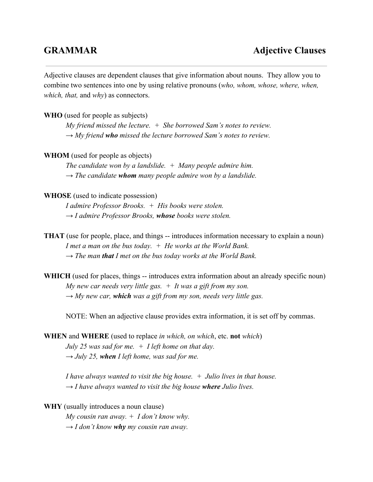Adjective clauses are dependent clauses that give information about nouns. They allow you to combine two sentences into one by using relative pronouns (*who, whom, whose, where, when, which, that,* and *why*) as connectors.

**WHO** (used for people as subjects)

*My friend missed the lecture. + She borrowed Sam's notes to review. → My friend whomissed the lecture borrowed Sam's notes to review.*

**WHOM** (used for people as objects)

*The candidate won by a landslide. + Many people admire him. → The candidate whom many people admire won by a landslide.*

## **WHOSE** (used to indicate possession)

*I admire Professor Brooks. + His books were stolen. → I admire Professor Brooks, whose books were stolen.*

- **THAT** (use for people, place, and things -- introduces information necessary to explain a noun) *I met a man on the bus today. + He works at the World Bank. → The man thatI met on the bus today works at the World Bank.*
- **WHICH** (used for places, things -- introduces extra information about an already specific noun) *My new car needs very little gas. + It was a gift from my son. → My new car, whichwas a gift from my son, needs very little gas.*

NOTE: When an adjective clause provides extra information, it is set off by commas.

**WHEN** and **WHERE** (used to replace *in which, on which*, etc. **not** *which*) *July 25 was sad for me. + I left home on that day.*  $\rightarrow$  *July* 25, when *I* left home, was sad for me.

*I have always wanted to visit the big house. + Julio lives in that house. → I have always wanted to visit the big house where Julio lives.*

**WHY** (usually introduces a noun clause) *My cousin ran away. + I don't know why. → I don't know why my cousin ran away.*